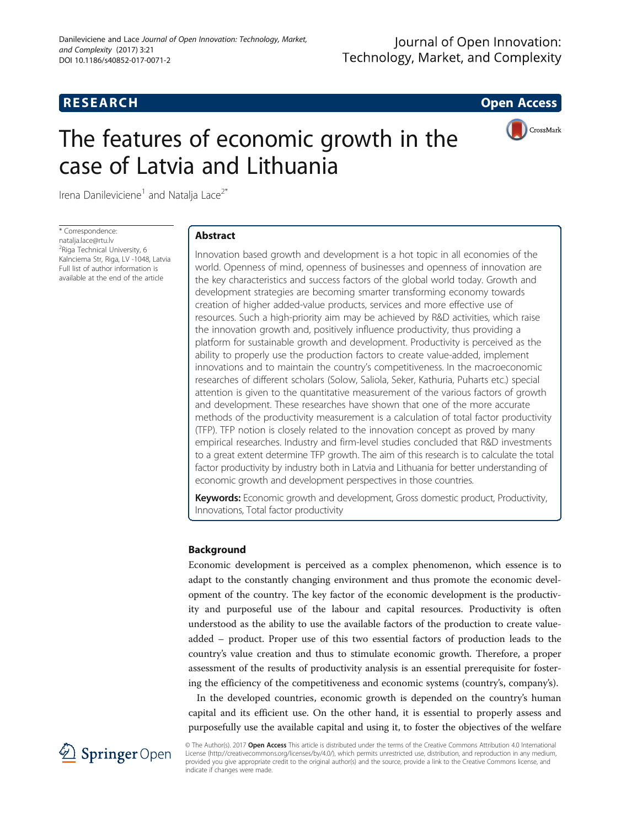## **RESEARCH RESEARCH CONSUMING ACCESS**

# The features of economic growth in the case of Latvia and Lithuania



Irena Danileviciene<sup>1</sup> and Natalja Lace<sup>2\*</sup>

\* Correspondence: [natalja.lace@rtu.lv](mailto:natalja.lace@rtu.lv) <sup>2</sup>Riga Technical University, 6 Kalnciema Str, Riga, LV -1048, Latvia Full list of author information is available at the end of the article

## Abstract

Innovation based growth and development is a hot topic in all economies of the world. Openness of mind, openness of businesses and openness of innovation are the key characteristics and success factors of the global world today. Growth and development strategies are becoming smarter transforming economy towards creation of higher added-value products, services and more effective use of resources. Such a high-priority aim may be achieved by R&D activities, which raise the innovation growth and, positively influence productivity, thus providing a platform for sustainable growth and development. Productivity is perceived as the ability to properly use the production factors to create value-added, implement innovations and to maintain the country's competitiveness. In the macroeconomic researches of different scholars (Solow, Saliola, Seker, Kathuria, Puharts etc.) special attention is given to the quantitative measurement of the various factors of growth and development. These researches have shown that one of the more accurate methods of the productivity measurement is a calculation of total factor productivity (TFP). TFP notion is closely related to the innovation concept as proved by many empirical researches. Industry and firm-level studies concluded that R&D investments to a great extent determine TFP growth. The aim of this research is to calculate the total factor productivity by industry both in Latvia and Lithuania for better understanding of economic growth and development perspectives in those countries.

Keywords: Economic growth and development, Gross domestic product, Productivity, Innovations, Total factor productivity

## Background

Economic development is perceived as a complex phenomenon, which essence is to adapt to the constantly changing environment and thus promote the economic development of the country. The key factor of the economic development is the productivity and purposeful use of the labour and capital resources. Productivity is often understood as the ability to use the available factors of the production to create valueadded – product. Proper use of this two essential factors of production leads to the country's value creation and thus to stimulate economic growth. Therefore, a proper assessment of the results of productivity analysis is an essential prerequisite for fostering the efficiency of the competitiveness and economic systems (country's, company's).

In the developed countries, economic growth is depended on the country's human capital and its efficient use. On the other hand, it is essential to properly assess and purposefully use the available capital and using it, to foster the objectives of the welfare



© The Author(s). 2017 Open Access This article is distributed under the terms of the Creative Commons Attribution 4.0 International License [\(http://creativecommons.org/licenses/by/4.0/](http://creativecommons.org/licenses/by/4.0/)), which permits unrestricted use, distribution, and reproduction in any medium, provided you give appropriate credit to the original author(s) and the source, provide a link to the Creative Commons license, and indicate if changes were made.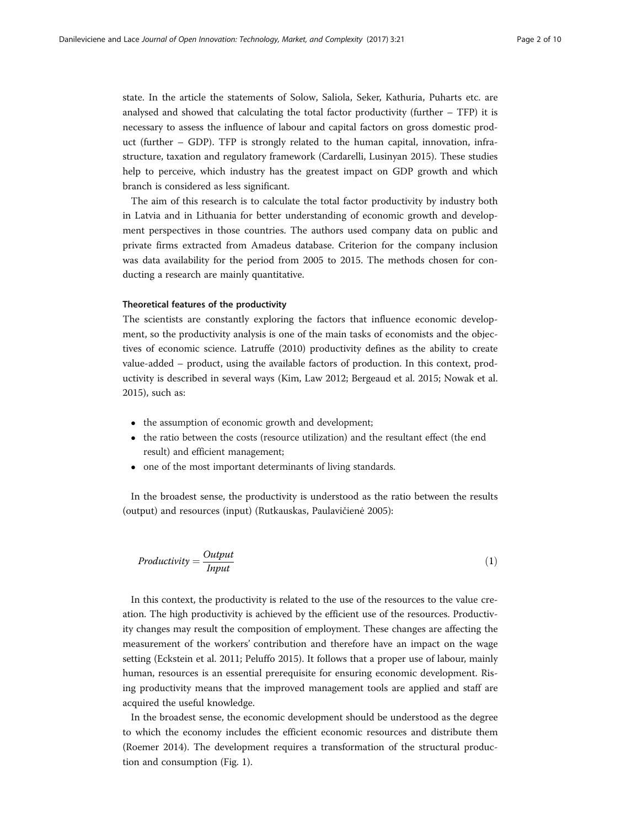state. In the article the statements of Solow, Saliola, Seker, Kathuria, Puharts etc. are analysed and showed that calculating the total factor productivity (further  $-$  TFP) it is necessary to assess the influence of labour and capital factors on gross domestic product (further – GDP). TFP is strongly related to the human capital, innovation, infrastructure, taxation and regulatory framework (Cardarelli, Lusinyan [2015\)](#page-8-0). These studies help to perceive, which industry has the greatest impact on GDP growth and which branch is considered as less significant.

The aim of this research is to calculate the total factor productivity by industry both in Latvia and in Lithuania for better understanding of economic growth and development perspectives in those countries. The authors used company data on public and private firms extracted from Amadeus database. Criterion for the company inclusion was data availability for the period from 2005 to 2015. The methods chosen for conducting a research are mainly quantitative.

#### Theoretical features of the productivity

The scientists are constantly exploring the factors that influence economic development, so the productivity analysis is one of the main tasks of economists and the objectives of economic science. Latruffe ([2010](#page-9-0)) productivity defines as the ability to create value-added – product, using the available factors of production. In this context, productivity is described in several ways (Kim, Law [2012;](#page-8-0) Bergeaud et al. [2015;](#page-8-0) Nowak et al. [2015](#page-9-0)), such as:

- the assumption of economic growth and development;
- the ratio between the costs (resource utilization) and the resultant effect (the end result) and efficient management;
- one of the most important determinants of living standards.

In the broadest sense, the productivity is understood as the ratio between the results (output) and resources (input) (Rutkauskas, Paulavičienė [2005](#page-9-0)):

$$
Productivity = \frac{Output}{Input}
$$
 (1)

In this context, the productivity is related to the use of the resources to the value creation. The high productivity is achieved by the efficient use of the resources. Productivity changes may result the composition of employment. These changes are affecting the measurement of the workers' contribution and therefore have an impact on the wage setting (Eckstein et al. [2011](#page-8-0); Peluffo [2015](#page-9-0)). It follows that a proper use of labour, mainly human, resources is an essential prerequisite for ensuring economic development. Rising productivity means that the improved management tools are applied and staff are acquired the useful knowledge.

In the broadest sense, the economic development should be understood as the degree to which the economy includes the efficient economic resources and distribute them (Roemer [2014](#page-9-0)). The development requires a transformation of the structural production and consumption (Fig. [1\)](#page-2-0).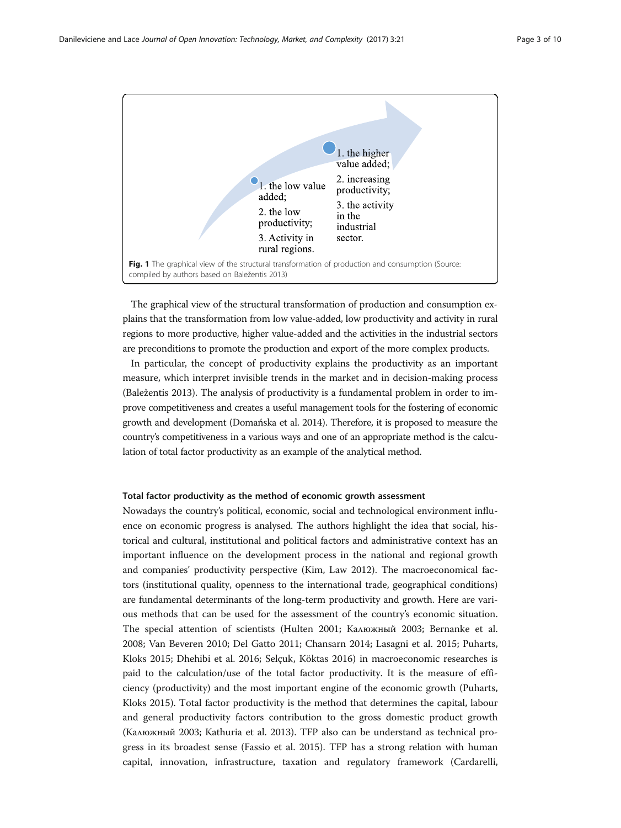<span id="page-2-0"></span>

The graphical view of the structural transformation of production and consumption explains that the transformation from low value-added, low productivity and activity in rural regions to more productive, higher value-added and the activities in the industrial sectors are preconditions to promote the production and export of the more complex products.

In particular, the concept of productivity explains the productivity as an important measure, which interpret invisible trends in the market and in decision-making process (Baležentis [2013](#page-8-0)). The analysis of productivity is a fundamental problem in order to improve competitiveness and creates a useful management tools for the fostering of economic growth and development (Domańska et al. [2014](#page-8-0)). Therefore, it is proposed to measure the country's competitiveness in a various ways and one of an appropriate method is the calculation of total factor productivity as an example of the analytical method.

#### Total factor productivity as the method of economic growth assessment

Nowadays the country's political, economic, social and technological environment influence on economic progress is analysed. The authors highlight the idea that social, historical and cultural, institutional and political factors and administrative context has an important influence on the development process in the national and regional growth and companies' productivity perspective (Kim, Law [2012\)](#page-8-0). The macroeconomical factors (institutional quality, openness to the international trade, geographical conditions) are fundamental determinants of the long-term productivity and growth. Here are various methods that can be used for the assessment of the country's economic situation. The special attention of scientists (Hulten [2001](#page-8-0); Калюжный [2003;](#page-8-0) Bernanke et al. [2008](#page-8-0); Van Beveren [2010](#page-9-0); Del Gatto 2011; Chansarn [2014](#page-8-0); Lasagni et al. [2015](#page-9-0); Puharts, Kloks [2015;](#page-9-0) Dhehibi et al. [2016;](#page-8-0) Selçuk, Köktas [2016](#page-9-0)) in macroeconomic researches is paid to the calculation/use of the total factor productivity. It is the measure of efficiency (productivity) and the most important engine of the economic growth (Puharts, Kloks [2015](#page-9-0)). Total factor productivity is the method that determines the capital, labour and general productivity factors contribution to the gross domestic product growth (Калюжный [2003](#page-8-0); Kathuria et al. [2013](#page-8-0)). TFP also can be understand as technical progress in its broadest sense (Fassio et al. [2015\)](#page-8-0). TFP has a strong relation with human capital, innovation, infrastructure, taxation and regulatory framework (Cardarelli,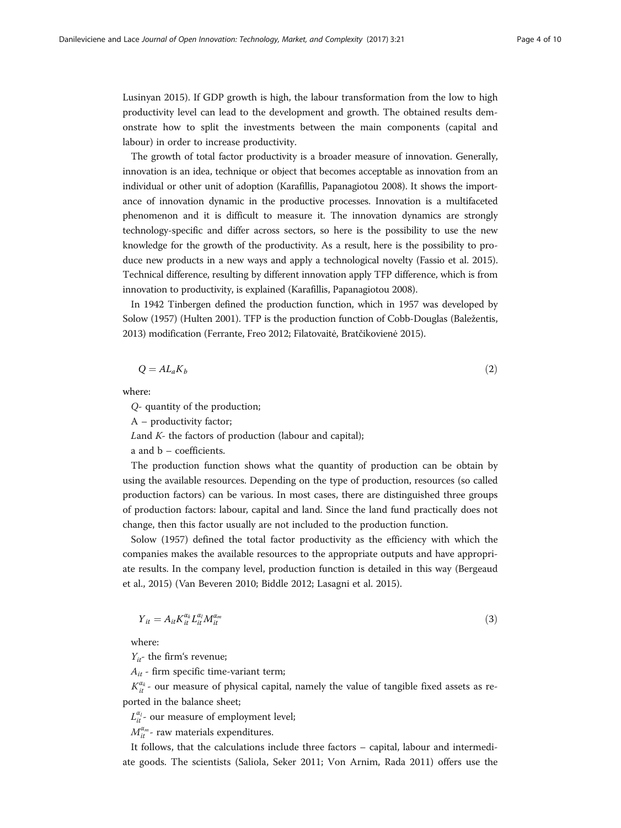Lusinyan [2015](#page-8-0)). If GDP growth is high, the labour transformation from the low to high productivity level can lead to the development and growth. The obtained results demonstrate how to split the investments between the main components (capital and labour) in order to increase productivity.

The growth of total factor productivity is a broader measure of innovation. Generally, innovation is an idea, technique or object that becomes acceptable as innovation from an individual or other unit of adoption (Karafillis, Papanagiotou [2008\)](#page-8-0). It shows the importance of innovation dynamic in the productive processes. Innovation is a multifaceted phenomenon and it is difficult to measure it. The innovation dynamics are strongly technology-specific and differ across sectors, so here is the possibility to use the new knowledge for the growth of the productivity. As a result, here is the possibility to produce new products in a new ways and apply a technological novelty (Fassio et al. [2015](#page-8-0)). Technical difference, resulting by different innovation apply TFP difference, which is from innovation to productivity, is explained (Karafillis, Papanagiotou [2008](#page-8-0)).

In 1942 Tinbergen defined the production function, which in 1957 was developed by Solow ([1957\)](#page-9-0) (Hulten [2001\)](#page-8-0). TFP is the production function of Cobb-Douglas (Baležentis, [2013\)](#page-8-0) modification (Ferrante, Freo [2012;](#page-8-0) Filatovaitė, Bratčikovienė [2015](#page-8-0)).

$$
Q = A L_a K_b \tag{2}
$$

where:

Q- quantity of the production;

A – productivity factor;

Land K- the factors of production (labour and capital);

a and b – coefficients.

The production function shows what the quantity of production can be obtain by using the available resources. Depending on the type of production, resources (so called production factors) can be various. In most cases, there are distinguished three groups of production factors: labour, capital and land. Since the land fund practically does not change, then this factor usually are not included to the production function.

Solow ([1957](#page-9-0)) defined the total factor productivity as the efficiency with which the companies makes the available resources to the appropriate outputs and have appropriate results. In the company level, production function is detailed in this way (Bergeaud et al., [2015\)](#page-8-0) (Van Beveren [2010;](#page-9-0) Biddle [2012](#page-8-0); Lasagni et al. [2015](#page-9-0)).

$$
Y_{it} = A_{it} K_{it}^{\alpha_k} L_{it}^{\alpha_l} M_{it}^{\alpha_m} \tag{3}
$$

where:

 $Y_{it}$ - the firm's revenue;

 $A_{it}$  - firm specific time-variant term;

 $K_{it}^{\alpha_k}$  - our measure of physical capital, namely the value of tangible fixed assets as reported in the balance sheet;

 $L_{it}^{\alpha_l}$ - our measure of employment level;

 $M^{\alpha_m}_{it}$ - raw materials expenditures.

It follows, that the calculations include three factors – capital, labour and intermediate goods. The scientists (Saliola, Seker [2011](#page-9-0); Von Arnim, Rada [2011\)](#page-9-0) offers use the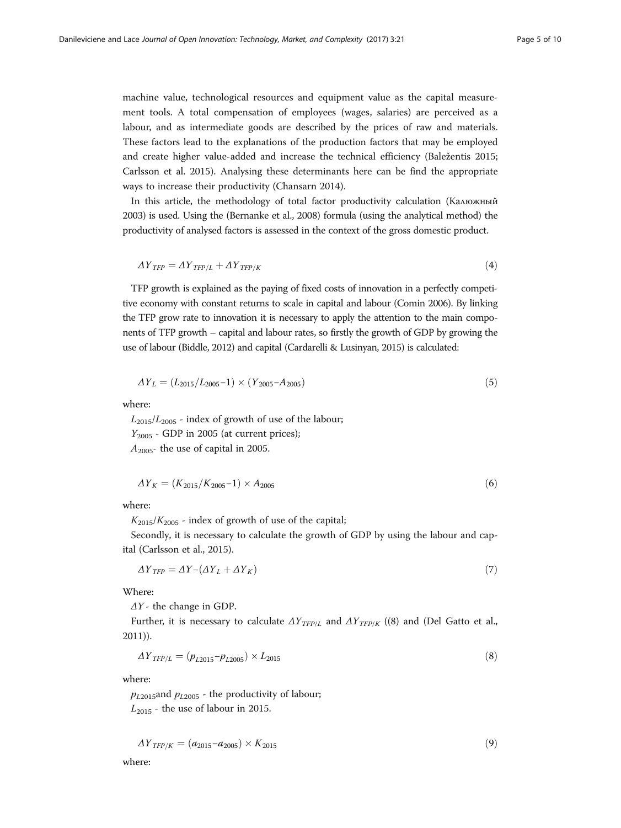machine value, technological resources and equipment value as the capital measurement tools. A total compensation of employees (wages, salaries) are perceived as a labour, and as intermediate goods are described by the prices of raw and materials. These factors lead to the explanations of the production factors that may be employed and create higher value-added and increase the technical efficiency (Baležentis [2015](#page-8-0); Carlsson et al. [2015\)](#page-8-0). Analysing these determinants here can be find the appropriate ways to increase their productivity (Chansarn [2014](#page-8-0)).

In this article, the methodology of total factor productivity calculation (Калюжный [2003\)](#page-8-0) is used. Using the (Bernanke et al., [2008](#page-8-0)) formula (using the analytical method) the productivity of analysed factors is assessed in the context of the gross domestic product.

$$
\Delta Y_{TFP} = \Delta Y_{TFP/L} + \Delta Y_{TFP/K} \tag{4}
$$

TFP growth is explained as the paying of fixed costs of innovation in a perfectly competitive economy with constant returns to scale in capital and labour (Comin 2006). By linking the TFP grow rate to innovation it is necessary to apply the attention to the main components of TFP growth – capital and labour rates, so firstly the growth of GDP by growing the use of labour (Biddle, [2012](#page-8-0)) and capital (Cardarelli & Lusinyan, [2015](#page-8-0)) is calculated:

$$
\Delta Y_L = (L_{2015}/L_{2005} - 1) \times (Y_{2005} - A_{2005})
$$
\n(5)

where:

 $L_{2015}/L_{2005}$  - index of growth of use of the labour;  $Y_{2005}$  - GDP in 2005 (at current prices);  $A_{2005}$ - the use of capital in 2005.

$$
\Delta Y_K = (K_{2015}/K_{2005} - 1) \times A_{2005} \tag{6}
$$

where:

 $K_{2015}/K_{2005}$  - index of growth of use of the capital;

Secondly, it is necessary to calculate the growth of GDP by using the labour and capital (Carlsson et al., [2015](#page-8-0)).

$$
\Delta Y_{TFP} = \Delta Y - (\Delta Y_L + \Delta Y_K) \tag{7}
$$

Where:

 $\Delta Y$  - the change in GDP.

Further, it is necessary to calculate  $\Delta Y_{TFP/L}$  and  $\Delta Y_{TFP/K}$  ((8) and (Del Gatto et al., [2011](#page-8-0))).

$$
\Delta Y_{TFP/L} = (p_{L2015} - p_{L2005}) \times L_{2015}
$$
\n(8)

where:

 $p_{L2015}$ and  $p_{L2005}$  - the productivity of labour;  $L_{2015}$  - the use of labour in 2015.

$$
\Delta Y_{TFP/K} = (a_{2015} - a_{2005}) \times K_{2015} \tag{9}
$$

where: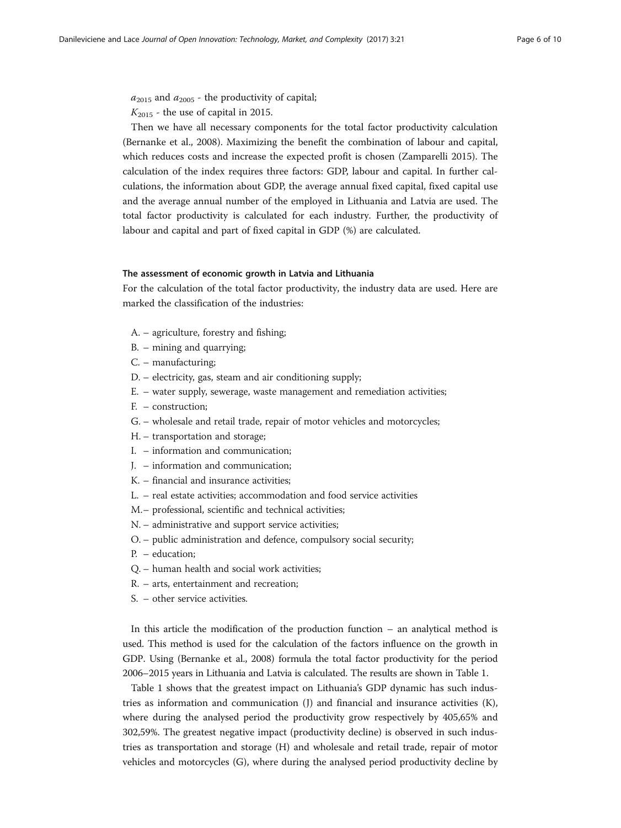$a_{2015}$  and  $a_{2005}$  - the productivity of capital;

 $K_{2015}$  - the use of capital in 2015.

Then we have all necessary components for the total factor productivity calculation (Bernanke et al., [2008](#page-8-0)). Maximizing the benefit the combination of labour and capital, which reduces costs and increase the expected profit is chosen (Zamparelli [2015\)](#page-9-0). The calculation of the index requires three factors: GDP, labour and capital. In further calculations, the information about GDP, the average annual fixed capital, fixed capital use and the average annual number of the employed in Lithuania and Latvia are used. The total factor productivity is calculated for each industry. Further, the productivity of labour and capital and part of fixed capital in GDP (%) are calculated.

### The assessment of economic growth in Latvia and Lithuania

For the calculation of the total factor productivity, the industry data are used. Here are marked the classification of the industries:

- A. agriculture, forestry and fishing;
- B. mining and quarrying;
- C. manufacturing;
- D. electricity, gas, steam and air conditioning supply;
- E. water supply, sewerage, waste management and remediation activities;
- F. construction;
- G. wholesale and retail trade, repair of motor vehicles and motorcycles;
- H. transportation and storage;
- I. information and communication;
- J. information and communication;
- K. financial and insurance activities;
- L. real estate activities; accommodation and food service activities
- M.– professional, scientific and technical activities;
- N. administrative and support service activities;
- O. public administration and defence, compulsory social security;
- P. education;
- Q. human health and social work activities;
- R. arts, entertainment and recreation;
- S. other service activities.

In this article the modification of the production function – an analytical method is used. This method is used for the calculation of the factors influence on the growth in GDP. Using (Bernanke et al., [2008](#page-8-0)) formula the total factor productivity for the period 2006–2015 years in Lithuania and Latvia is calculated. The results are shown in Table [1.](#page-6-0)

Table [1](#page-6-0) shows that the greatest impact on Lithuania's GDP dynamic has such industries as information and communication (J) and financial and insurance activities (K), where during the analysed period the productivity grow respectively by 405,65% and 302,59%. The greatest negative impact (productivity decline) is observed in such industries as transportation and storage (H) and wholesale and retail trade, repair of motor vehicles and motorcycles (G), where during the analysed period productivity decline by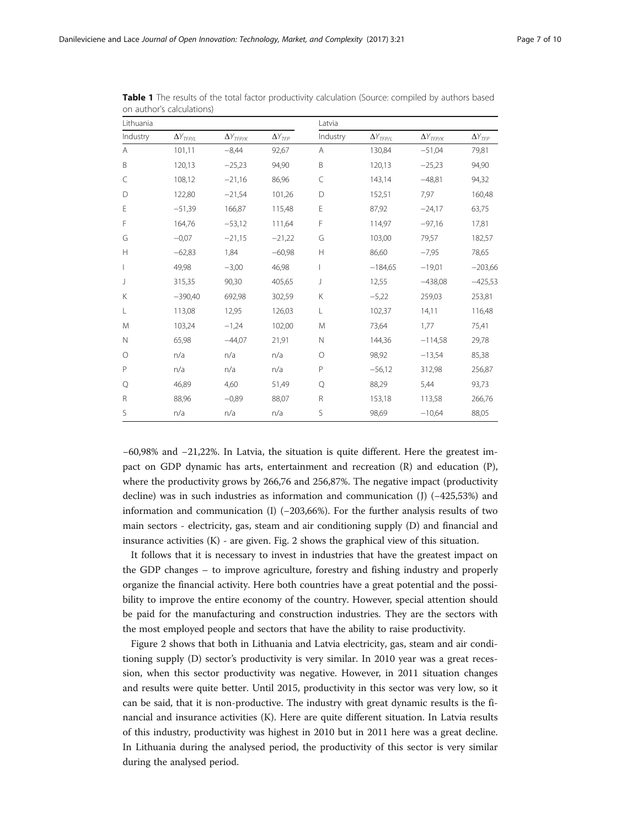| Lithuania    |                        |                             |                           | Latvia       |                    |                  |                           |
|--------------|------------------------|-----------------------------|---------------------------|--------------|--------------------|------------------|---------------------------|
| Industry     | $\Delta Y_{\it TFP/L}$ | $\Delta Y_{\textit{TFP/K}}$ | $\Delta Y_{\textit{TFP}}$ | Industry     | $\Delta Y_{TFP/L}$ | $\Delta Y$ TFP/K | $\Delta Y$ <sub>TFP</sub> |
| A            | 101,11                 | $-8,44$                     | 92,67                     | A            | 130,84             | $-51,04$         | 79,81                     |
| B            | 120,13                 | $-25,23$                    | 94,90                     | B            | 120,13             | $-25,23$         | 94,90                     |
| C            | 108,12                 | $-21,16$                    | 86,96                     | $\subset$    | 143,14             | $-48,81$         | 94,32                     |
| D            | 122,80                 | $-21,54$                    | 101,26                    | D            | 152,51             | 7,97             | 160,48                    |
| Е            | $-51,39$               | 166,87                      | 115,48                    | E            | 87,92              | $-24,17$         | 63,75                     |
| F            | 164,76                 | $-53,12$                    | 111,64                    | F            | 114,97             | $-97,16$         | 17,81                     |
| G            | $-0,07$                | $-21,15$                    | $-21,22$                  | G            | 103,00             | 79,57            | 182,57                    |
| H            | $-62,83$               | 1,84                        | $-60,98$                  | H            | 86,60              | $-7,95$          | 78,65                     |
|              | 49,98                  | $-3,00$                     | 46,98                     |              | $-184,65$          | $-19,01$         | $-203,66$                 |
| J            | 315,35                 | 90,30                       | 405,65                    | J            | 12,55              | $-438,08$        | $-425,53$                 |
| Κ            | $-390,40$              | 692,98                      | 302,59                    | К            | $-5,22$            | 259,03           | 253,81                    |
| L            | 113,08                 | 12,95                       | 126,03                    | L            | 102,37             | 14,11            | 116,48                    |
| M            | 103,24                 | $-1,24$                     | 102,00                    | M            | 73,64              | 1,77             | 75,41                     |
| $\mathsf{N}$ | 65,98                  | $-44,07$                    | 21,91                     | $\mathsf{N}$ | 144,36             | $-114,58$        | 29,78                     |
| O            | n/a                    | n/a                         | n/a                       | $\bigcirc$   | 98,92              | $-13,54$         | 85,38                     |
| P            | n/a                    | n/a                         | n/a                       | $\mathsf{P}$ | $-56,12$           | 312,98           | 256,87                    |
| Q            | 46,89                  | 4,60                        | 51,49                     | Q            | 88,29              | 5,44             | 93,73                     |
| R            | 88,96                  | $-0,89$                     | 88,07                     | R            | 153,18             | 113,58           | 266,76                    |
| S            | n/a                    | n/a                         | n/a                       | S            | 98,69              | $-10,64$         | 88,05                     |

<span id="page-6-0"></span>Table 1 The results of the total factor productivity calculation (Source: compiled by authors based on author's calculations)

−60,98% and −21,22%. In Latvia, the situation is quite different. Here the greatest impact on GDP dynamic has arts, entertainment and recreation (R) and education (P), where the productivity grows by 266,76 and 256,87%. The negative impact (productivity decline) was in such industries as information and communication (J) (−425,53%) and information and communication (I) (−203,66%). For the further analysis results of two main sectors - electricity, gas, steam and air conditioning supply (D) and financial and insurance activities  $(K)$  - are given. Fig. [2](#page-7-0) shows the graphical view of this situation.

It follows that it is necessary to invest in industries that have the greatest impact on the GDP changes – to improve agriculture, forestry and fishing industry and properly organize the financial activity. Here both countries have a great potential and the possibility to improve the entire economy of the country. However, special attention should be paid for the manufacturing and construction industries. They are the sectors with the most employed people and sectors that have the ability to raise productivity.

Figure [2](#page-7-0) shows that both in Lithuania and Latvia electricity, gas, steam and air conditioning supply (D) sector's productivity is very similar. In 2010 year was a great recession, when this sector productivity was negative. However, in 2011 situation changes and results were quite better. Until 2015, productivity in this sector was very low, so it can be said, that it is non-productive. The industry with great dynamic results is the financial and insurance activities (K). Here are quite different situation. In Latvia results of this industry, productivity was highest in 2010 but in 2011 here was a great decline. In Lithuania during the analysed period, the productivity of this sector is very similar during the analysed period.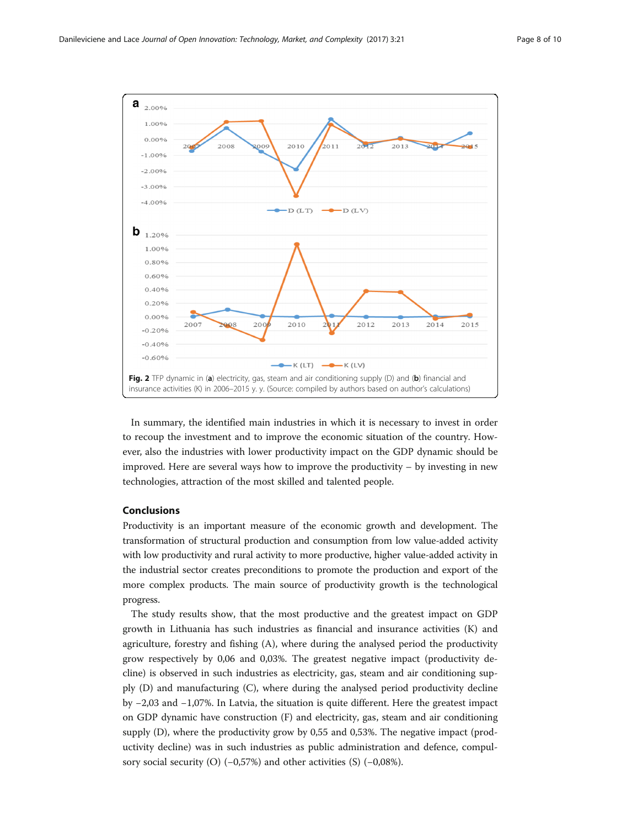<span id="page-7-0"></span>

In summary, the identified main industries in which it is necessary to invest in order to recoup the investment and to improve the economic situation of the country. However, also the industries with lower productivity impact on the GDP dynamic should be improved. Here are several ways how to improve the productivity – by investing in new technologies, attraction of the most skilled and talented people.

## Conclusions

Productivity is an important measure of the economic growth and development. The transformation of structural production and consumption from low value-added activity with low productivity and rural activity to more productive, higher value-added activity in the industrial sector creates preconditions to promote the production and export of the more complex products. The main source of productivity growth is the technological progress.

The study results show, that the most productive and the greatest impact on GDP growth in Lithuania has such industries as financial and insurance activities (K) and agriculture, forestry and fishing (A), where during the analysed period the productivity grow respectively by 0,06 and 0,03%. The greatest negative impact (productivity decline) is observed in such industries as electricity, gas, steam and air conditioning supply (D) and manufacturing (C), where during the analysed period productivity decline by −2,03 and −1,07%. In Latvia, the situation is quite different. Here the greatest impact on GDP dynamic have construction (F) and electricity, gas, steam and air conditioning supply (D), where the productivity grow by 0,55 and 0,53%. The negative impact (productivity decline) was in such industries as public administration and defence, compulsory social security (O) (−0,57%) and other activities (S) (−0,08%).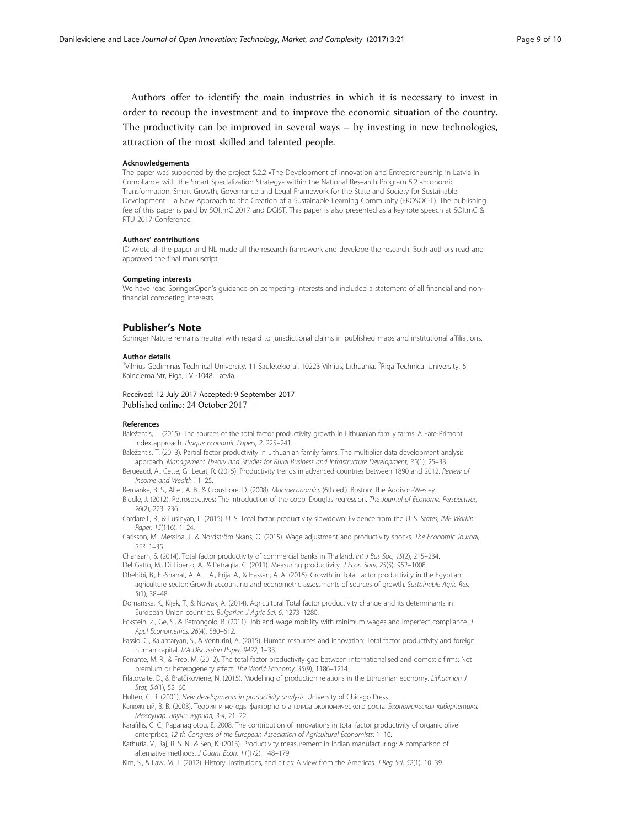<span id="page-8-0"></span>Authors offer to identify the main industries in which it is necessary to invest in order to recoup the investment and to improve the economic situation of the country. The productivity can be improved in several ways – by investing in new technologies, attraction of the most skilled and talented people.

#### Acknowledgements

The paper was supported by the project 5.2.2 «The Development of Innovation and Entrepreneurship in Latvia in Compliance with the Smart Specialization Strategy» within the National Research Program 5.2 «Economic Transformation, Smart Growth, Governance and Legal Framework for the State and Society for Sustainable Development – a New Approach to the Creation of a Sustainable Learning Community (EKOSOC-L). The publishing fee of this paper is paid by SOItmC 2017 and DGIST. This paper is also presented as a keynote speech at SOItmC & RTU 2017 Conference.

#### Authors' contributions

ID wrote all the paper and NL made all the research framework and develope the research. Both authors read and approved the final manuscript.

#### Competing interests

We have read SpringerOpen's guidance on competing interests and included a statement of all financial and nonfinancial competing interests.

#### Publisher's Note

Springer Nature remains neutral with regard to jurisdictional claims in published maps and institutional affiliations.

#### Author details

<sup>1</sup>Vilnius Gediminas Technical University, 11 Sauletekio al, 10223 Vilnius, Lithuania. <sup>2</sup>Riga Technical University, 6 Kalnciema Str, Riga, LV -1048, Latvia.

#### Received: 12 July 2017 Accepted: 9 September 2017 Published online: 24 October 2017

#### References

Baležentis, T. (2015). The sources of the total factor productivity growth in Lithuanian family farms: A Färe-Primont index approach. Prague Economic Papers, 2, 225–241.

Baležentis, T. (2013). Partial factor productivity in Lithuanian family farms: The multiplier data development analysis approach. Management Theory and Studies for Rural Business and Infrastructure Development, 35(1): 25–33.

Bergeaud, A., Cette, G., Lecat, R. (2015). Productivity trends in advanced countries between 1890 and 2012. Review of Income and Wealth : 1–25.

Bernanke, B. S., Abel, A. B., & Croushore, D. (2008). Macroeconomics (6th ed.). Boston: The Addison-Wesley.

- Biddle, J. (2012). Retrospectives: The introduction of the cobb–Douglas regression. The Journal of Economic Perspectives, 26(2), 223–236.
- Cardarelli, R., & Lusinyan, L. (2015). U. S. Total factor productivity slowdown: Evidence from the U. S. States, IMF Workin Paper, 15(116), 1–24.
- Carlsson, M., Messina, J., & Nordström Skans, O. (2015). Wage adjustment and productivity shocks. The Economic Journal, 253, 1–35.

Chansarn, S. (2014). Total factor productivity of commercial banks in Thailand. Int J Bus Soc, 15(2), 215–234. Del Gatto, M., Di Liberto, A., & Petraglia, C. (2011). Measuring productivity. J Econ Surv, 25(5), 952-1008.

- Dhehibi, B., El-Shahat, A. A. I. A., Frija, A., & Hassan, A. A. (2016). Growth in Total factor productivity in the Egyptian agriculture sector: Growth accounting and econometric assessments of sources of growth. Sustainable Agric Res, 5(1), 38–48.
- Domańska, K., Kijek, T., & Nowak, A. (2014). Agricultural Total factor productivity change and its determinants in European Union countries. Bulgarian J Agric Sci, 6, 1273–1280.
- Eckstein, Z., Ge, S., & Petrongolo, B. (2011). Job and wage mobility with minimum wages and imperfect compliance. J Appl Econometrics, 26(4), 580–612.
- Fassio, C., Kalantaryan, S., & Venturini, A. (2015). Human resources and innovation: Total factor productivity and foreign human capital. IZA Discussion Paper, 9422, 1–33.
- Ferrante, M. R., & Freo, M. (2012). The total factor productivity gap between internationalised and domestic firms: Net premium or heterogeneity effect. The World Economy, 35(9), 1186–1214.
- Filatovaitė, D., & Bratčikovienė, N. (2015). Modelling of production relations in the Lithuanian economy. Lithuanian J Stat, 54(1), 52–60.
- Hulten, C. R. (2001). New developments in productivity analysis. University of Chicago Press.
- Калюжный, В. В. (2003). Теория и методы факторного анализа экономического роста. Экономическая кибернетика. Междунар. научн. журнал, 3-4, 21–22.
- Karafillis, C. C.; Papanagiotou, E. 2008. The contribution of innovations in total factor productivity of organic olive enterprises, 12 th Congress of the European Association of Agricultural Economists: 1–10.
- Kathuria, V., Raj, R. S. N., & Sen, K. (2013). Productivity measurement in Indian manufacturing: A comparison of alternative methods. J Quant Econ, 11(1/2), 148–179.

Kim, S., & Law, M. T. (2012). History, institutions, and cities: A view from the Americas. J Reg Sci, 52(1), 10-39.